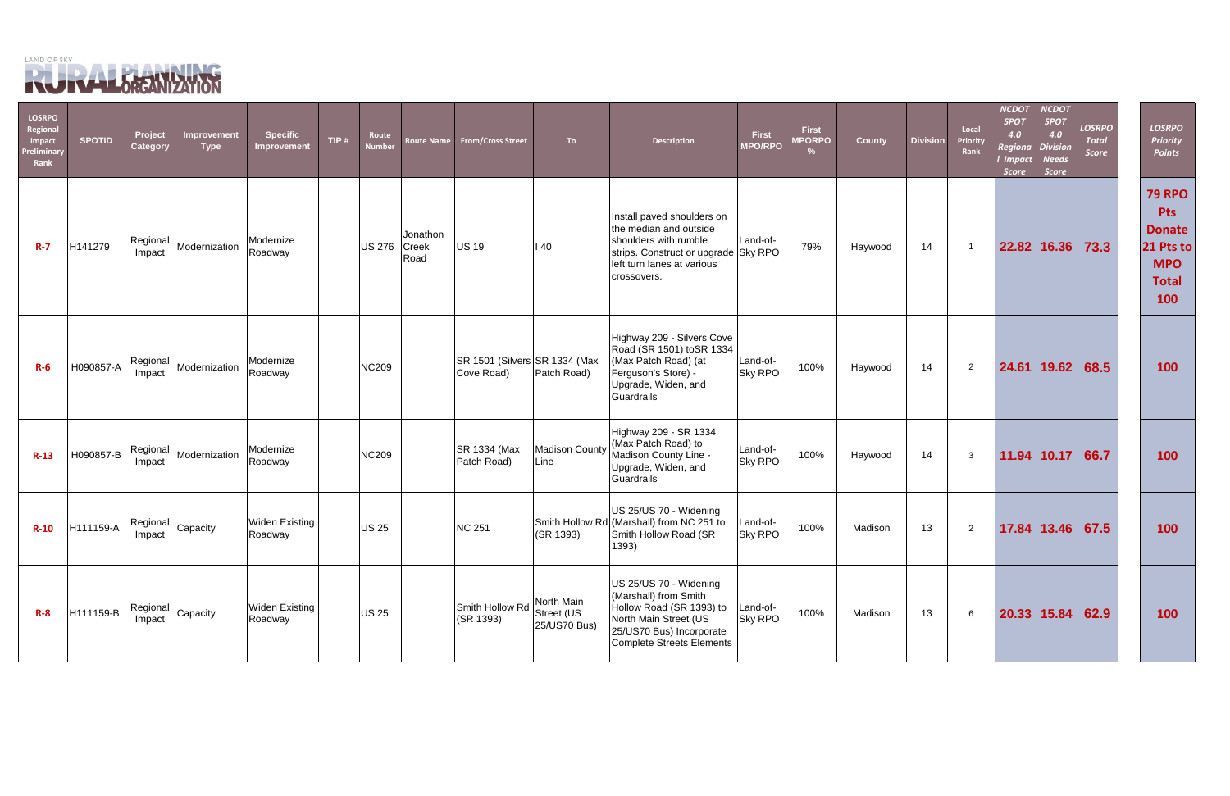

| <b>LOSRPO</b><br><b>Regional</b><br>Impact<br>Preliminary<br>Rank | <b>SPOTID</b> | Project<br><b>Category</b> | Improvement<br><b>Type</b>              | <b>Specific</b><br>Improvement   | TIP $#$ | Route<br><b>Number</b> | <b>Route Name</b>         | <b>From/Cross Street</b>                    | To:                                      | <b>Description</b>                                                                                                                                                 | <b>First</b><br><b>MPO/RPO</b> | <b>First</b><br><b>MPORPO</b><br>% | <b>County</b> | <b>Division</b> | Local<br>Priority<br>Rank | <b>NCDOT</b><br><b>SPOT</b><br>4.0<br>Regiona<br><b>Impact</b><br><b>Score</b> | <b>VCDOT</b><br><b>SPOT</b><br>4.0<br><b>Division</b><br><b>Needs</b><br><b>Score</b> | <b>LOSRPO</b><br><b>Total</b><br><b>Score</b> | <b>LOSRPO</b><br><b>Priority</b><br><b>Points</b>                                              |
|-------------------------------------------------------------------|---------------|----------------------------|-----------------------------------------|----------------------------------|---------|------------------------|---------------------------|---------------------------------------------|------------------------------------------|--------------------------------------------------------------------------------------------------------------------------------------------------------------------|--------------------------------|------------------------------------|---------------|-----------------|---------------------------|--------------------------------------------------------------------------------|---------------------------------------------------------------------------------------|-----------------------------------------------|------------------------------------------------------------------------------------------------|
| $R - 7$                                                           | H141279       | Regional<br>Impact         | Modernization                           | Modernize<br>Roadway             |         | <b>US 276</b>          | Jonathon<br>Creek<br>Road | <b>US 19</b>                                | 140                                      | Install paved shoulders on<br>the median and outside<br>shoulders with rumble<br>strips. Construct or upgrade Sky RPO<br>left turn lanes at various<br>crossovers. | Land-of-                       | 79%                                | Haywood       | 14              | -1                        |                                                                                | 22.82 16.36                                                                           | 73.3                                          | <b>79 RPO</b><br><b>Pts</b><br><b>Donate</b><br>21 Pts to<br><b>MPO</b><br><b>Total</b><br>100 |
| $R-6$                                                             | H090857-A     | Regional<br>Impact         | Modernization                           | Modernize<br>Roadway             |         | <b>NC209</b>           |                           | SR 1501 (Silvers SR 1334 (Max<br>Cove Road) | Patch Road)                              | Highway 209 - Silvers Cove<br>Road (SR 1501) toSR 1334<br>(Max Patch Road) (at<br>Ferguson's Store) -<br>Upgrade, Widen, and<br>Guardrails                         | Land-of-<br><b>Sky RPO</b>     | 100%                               | Haywood       | 14              | $\overline{2}$            | 24.61                                                                          | 19.62                                                                                 | 68.5                                          | 100                                                                                            |
| $R-13$                                                            | H090857-B     | Regional<br>Impact         | Modernization                           | Modernize<br>Roadway             |         | <b>NC209</b>           |                           | SR 1334 (Max<br>Patch Road)                 | Madison County<br>Line                   | Highway 209 - SR 1334<br>(Max Patch Road) to<br>Madison County Line -<br>Upgrade, Widen, and<br>Guardrails                                                         | Land-of-<br>Sky RPO            | 100%                               | Haywood       | 14              | $\mathbf{3}$              |                                                                                | 11.94 10.17                                                                           | 66.7                                          | 100                                                                                            |
| $R-10$                                                            | H111159-A     | Regional<br>Impact         | Capacity                                | <b>Widen Existing</b><br>Roadway |         | <b>US 25</b>           |                           | <b>NC 251</b>                               | (SR 1393)                                | US 25/US 70 - Widening<br>Smith Hollow Rd (Marshall) from NC 251 to<br>Smith Hollow Road (SR<br>1393)                                                              | Land-of-<br>Sky RPO            | 100%                               | Madison       | 13              | $\overline{2}$            |                                                                                | 17.84 13.46                                                                           | 67.5                                          | 100                                                                                            |
| $R - 8$                                                           | H111159-B     | Impact                     | $\frac{1}{2}$ Regional $\Big $ Capacity | <b>Widen Existing</b><br>Roadway |         | <b>US 25</b>           |                           | Smith Hollow Rd<br>(SR 1393)                | North Main<br>Street (US<br>25/US70 Bus) | US 25/US 70 - Widening<br>(Marshall) from Smith<br>Hollow Road (SR 1393) to<br>North Main Street (US<br>25/US70 Bus) Incorporate<br>Complete Streets Elements      | Land-of-<br>Sky RPO            | 100%                               | Madison       | 13              | 6                         |                                                                                | 20.33   15.84                                                                         | 62.9                                          | 100                                                                                            |